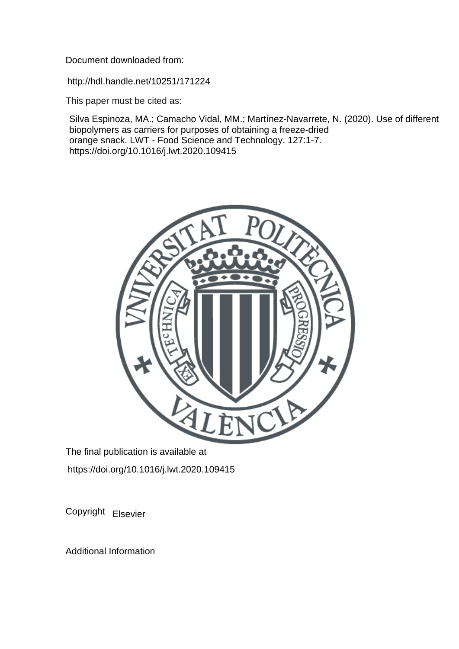Document downloaded from:

http://hdl.handle.net/10251/171224

This paper must be cited as:

Silva Espinoza, MA.; Camacho Vidal, MM.; Martínez-Navarrete, N. (2020). Use of different biopolymers as carriers for purposes of obtaining a freeze-dried orange snack. LWT - Food Science and Technology. 127:1-7. https://doi.org/10.1016/j.lwt.2020.109415



The final publication is available at https://doi.org/10.1016/j.lwt.2020.109415

Copyright Elsevier

Additional Information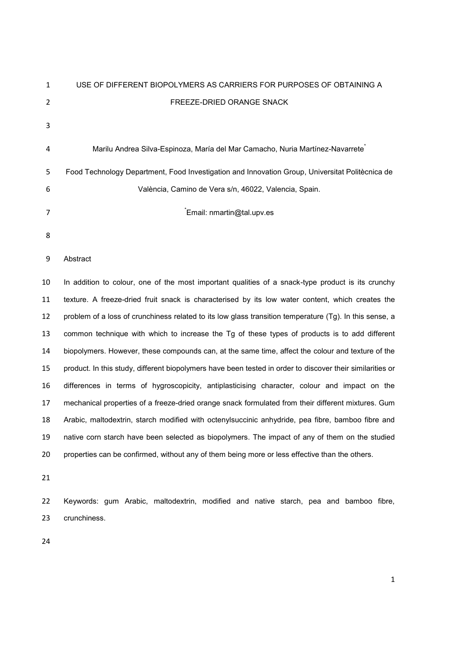| 1  | USE OF DIFFERENT BIOPOLYMERS AS CARRIERS FOR PURPOSES OF OBTAINING A                                      |
|----|-----------------------------------------------------------------------------------------------------------|
| 2  | FREEZE-DRIED ORANGE SNACK                                                                                 |
| 3  |                                                                                                           |
| 4  | Marilu Andrea Silva-Espinoza, María del Mar Camacho, Nuria Martínez-Navarrete <sup>®</sup>                |
|    |                                                                                                           |
| 5  | Food Technology Department, Food Investigation and Innovation Group, Universitat Politècnica de           |
| 6  | València, Camino de Vera s/n, 46022, Valencia, Spain.                                                     |
| 7  | Email: nmartin@tal.upv.es                                                                                 |
| 8  |                                                                                                           |
| 9  | Abstract                                                                                                  |
| 10 | In addition to colour, one of the most important qualities of a snack-type product is its crunchy         |
| 11 | texture. A freeze-dried fruit snack is characterised by its low water content, which creates the          |
| 12 | problem of a loss of crunchiness related to its low glass transition temperature (Tg). In this sense, a   |
| 13 | common technique with which to increase the Tg of these types of products is to add different             |
| 14 | biopolymers. However, these compounds can, at the same time, affect the colour and texture of the         |
| 15 | product. In this study, different biopolymers have been tested in order to discover their similarities or |
| 16 | differences in terms of hygroscopicity, antiplasticising character, colour and impact on the              |
| 17 | mechanical properties of a freeze-dried orange snack formulated from their different mixtures. Gum        |
| 18 | Arabic, maltodextrin, starch modified with octenylsuccinic anhydride, pea fibre, bamboo fibre and         |
| 19 | native corn starch have been selected as biopolymers. The impact of any of them on the studied            |
| 20 | properties can be confirmed, without any of them being more or less effective than the others.            |
| 21 |                                                                                                           |
| 22 | Keywords: gum Arabic, maltodextrin, modified and native starch, pea and bamboo fibre,                     |
| 23 | crunchiness.                                                                                              |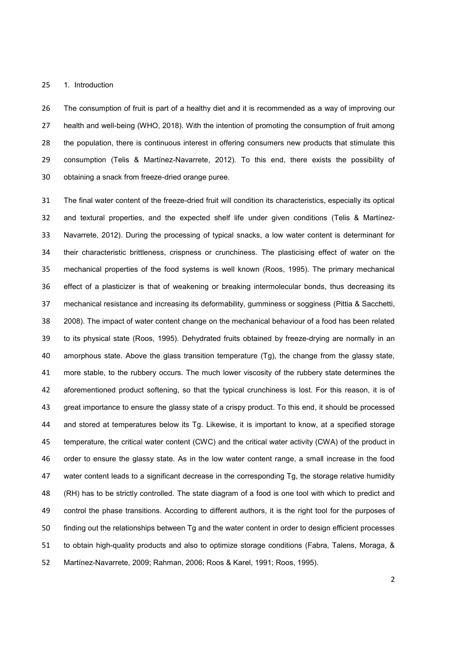#### 1. Introduction

The consumption of fruit is part of a healthy diet and it is recommended as a way of improving our health and well-being (WHO, 2018). With the intention of promoting the consumption of fruit among the population, there is continuous interest in offering consumers new products that stimulate this consumption (Telis & Martínez-Navarrete, 2012). To this end, there exists the possibility of obtaining a snack from freeze-dried orange puree.

The final water content of the freeze-dried fruit will condition its characteristics, especially its optical and textural properties, and the expected shelf life under given conditions (Telis & Martínez-Navarrete, 2012). During the processing of typical snacks, a low water content is determinant for their characteristic brittleness, crispness or crunchiness. The plasticising effect of water on the mechanical properties of the food systems is well known (Roos, 1995). The primary mechanical effect of a plasticizer is that of weakening or breaking intermolecular bonds, thus decreasing its mechanical resistance and increasing its deformability, gumminess or sogginess (Pittia & Sacchetti, 2008). The impact of water content change on the mechanical behaviour of a food has been related to its physical state (Roos, 1995). Dehydrated fruits obtained by freeze-drying are normally in an amorphous state. Above the glass transition temperature (Tg), the change from the glassy state, more stable, to the rubbery occurs. The much lower viscosity of the rubbery state determines the aforementioned product softening, so that the typical crunchiness is lost. For this reason, it is of great importance to ensure the glassy state of a crispy product. To this end, it should be processed and stored at temperatures below its Tg. Likewise, it is important to know, at a specified storage temperature, the critical water content (CWC) and the critical water activity (CWA) of the product in order to ensure the glassy state. As in the low water content range, a small increase in the food water content leads to a significant decrease in the corresponding Tg, the storage relative humidity (RH) has to be strictly controlled. The state diagram of a food is one tool with which to predict and control the phase transitions. According to different authors, it is the right tool for the purposes of finding out the relationships between Tg and the water content in order to design efficient processes to obtain high-quality products and also to optimize storage conditions (Fabra, Talens, Moraga, & Martínez-Navarrete, 2009; Rahman, 2006; Roos & Karel, 1991; Roos, 1995).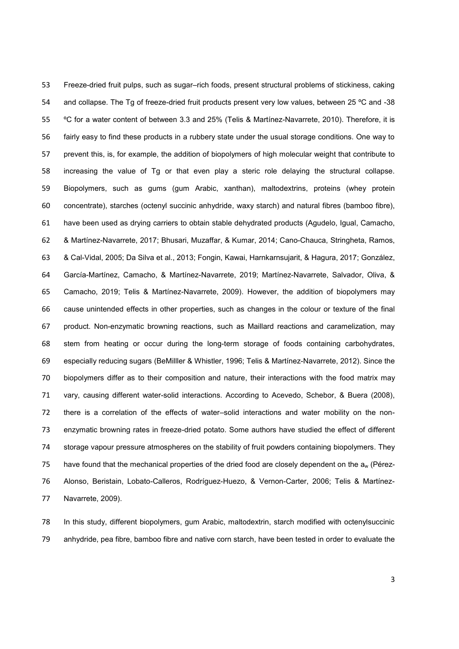Freeze-dried fruit pulps, such as sugar–rich foods, present structural problems of stickiness, caking 54 and collapse. The Tg of freeze-dried fruit products present very low values, between 25 °C and -38 ºC for a water content of between 3.3 and 25% (Telis & Martínez-Navarrete, 2010). Therefore, it is fairly easy to find these products in a rubbery state under the usual storage conditions. One way to prevent this, is, for example, the addition of biopolymers of high molecular weight that contribute to increasing the value of Tg or that even play a steric role delaying the structural collapse. Biopolymers, such as gums (gum Arabic, xanthan), maltodextrins, proteins (whey protein concentrate), starches (octenyl succinic anhydride, waxy starch) and natural fibres (bamboo fibre), have been used as drying carriers to obtain stable dehydrated products (Agudelo, Igual, Camacho, & Martínez-Navarrete, 2017; Bhusari, Muzaffar, & Kumar, 2014; Cano-Chauca, Stringheta, Ramos, & Cal-Vidal, 2005; Da Silva et al., 2013; Fongin, Kawai, Harnkarnsujarit, & Hagura, 2017; González, García-Martínez, Camacho, & Martínez-Navarrete, 2019; Martínez-Navarrete, Salvador, Oliva, & Camacho, 2019; Telis & Martínez-Navarrete, 2009). However, the addition of biopolymers may cause unintended effects in other properties, such as changes in the colour or texture of the final product. Non-enzymatic browning reactions, such as Maillard reactions and caramelization, may stem from heating or occur during the long-term storage of foods containing carbohydrates, especially reducing sugars (BeMilller & Whistler, 1996; Telis & Martínez-Navarrete, 2012). Since the biopolymers differ as to their composition and nature, their interactions with the food matrix may vary, causing different water-solid interactions. According to Acevedo, Schebor, & Buera (2008), there is a correlation of the effects of water–solid interactions and water mobility on the non-enzymatic browning rates in freeze-dried potato. Some authors have studied the effect of different storage vapour pressure atmospheres on the stability of fruit powders containing biopolymers. They 75 have found that the mechanical properties of the dried food are closely dependent on the  $a_w$  (Pérez-Alonso, Beristain, Lobato-Calleros, Rodríguez-Huezo, & Vernon-Carter, 2006; Telis & Martínez-Navarrete, 2009).

In this study, different biopolymers, gum Arabic, maltodextrin, starch modified with octenylsuccinic anhydride, pea fibre, bamboo fibre and native corn starch, have been tested in order to evaluate the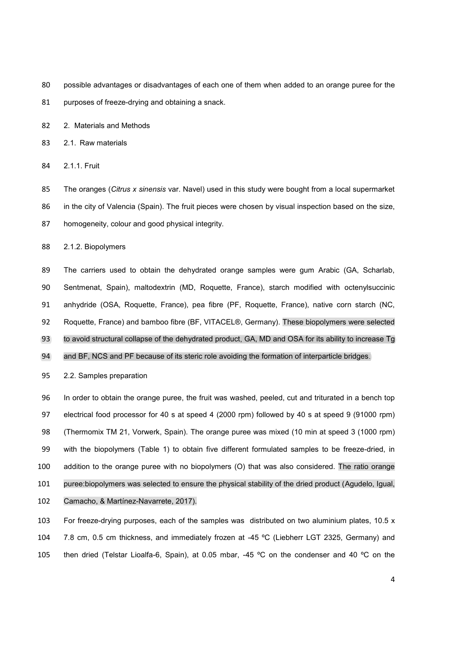- possible advantages or disadvantages of each one of them when added to an orange puree for the
- 81 purposes of freeze-drying and obtaining a snack.
- 2. Materials and Methods
- 2.1. Raw materials
- 2.1.1. Fruit

The oranges (*Citrus x sinensis* var. Navel) used in this study were bought from a local supermarket

86 in the city of Valencia (Spain). The fruit pieces were chosen by visual inspection based on the size,

homogeneity, colour and good physical integrity.

2.1.2. Biopolymers

The carriers used to obtain the dehydrated orange samples were gum Arabic (GA, Scharlab, Sentmenat, Spain), maltodextrin (MD, Roquette, France), starch modified with octenylsuccinic anhydride (OSA, Roquette, France), pea fibre (PF, Roquette, France), native corn starch (NC, Roquette, France) and bamboo fibre (BF, VITACEL®, Germany). These biopolymers were selected 93 to avoid structural collapse of the dehydrated product, GA, MD and OSA for its ability to increase Tg

94 and BF, NCS and PF because of its steric role avoiding the formation of interparticle bridges.

2.2. Samples preparation

In order to obtain the orange puree, the fruit was washed, peeled, cut and triturated in a bench top electrical food processor for 40 s at speed 4 (2000 rpm) followed by 40 s at speed 9 (91000 rpm) (Thermomix TM 21, Vorwerk, Spain). The orange puree was mixed (10 min at speed 3 (1000 rpm) with the biopolymers (Table 1) to obtain five different formulated samples to be freeze-dried, in addition to the orange puree with no biopolymers (O) that was also considered. The ratio orange puree:biopolymers was selected to ensure the physical stability of the dried product (Agudelo, Igual,

Camacho, & Martínez-Navarrete, 2017).

For freeze-drying purposes, each of the samples was distributed on two aluminium plates, 10.5 x 7.8 cm, 0.5 cm thickness, and immediately frozen at -45 ºC (Liebherr LGT 2325, Germany) and then dried (Telstar Lioalfa-6, Spain), at 0.05 mbar, -45 ºC on the condenser and 40 ºC on the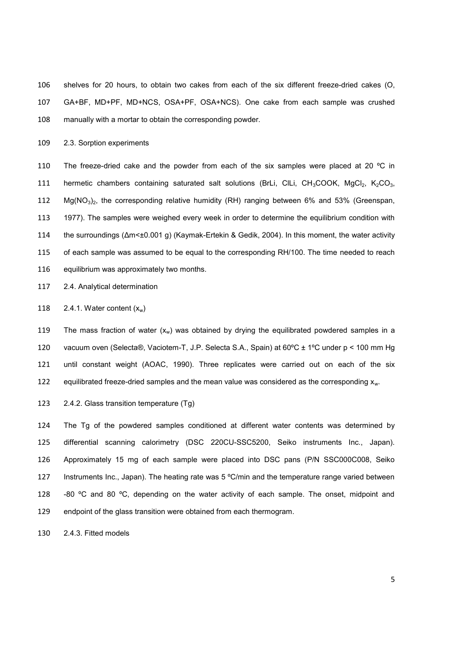shelves for 20 hours, to obtain two cakes from each of the six different freeze-dried cakes (O, GA+BF, MD+PF, MD+NCS, OSA+PF, OSA+NCS). One cake from each sample was crushed manually with a mortar to obtain the corresponding powder.

2.3. Sorption experiments

110 The freeze-dried cake and the powder from each of the six samples were placed at 20  $^{\circ}$ C in 111 hermetic chambers containing saturated salt solutions (BrLi, CILi, CH<sub>3</sub>COOK, MgCl<sub>2</sub>, K<sub>2</sub>CO<sub>3</sub>, 112  $Mg(NO_3)_2$ , the corresponding relative humidity (RH) ranging between 6% and 53% (Greenspan, 1977). The samples were weighed every week in order to determine the equilibrium condition with the surroundings (Δm<±0.001 g) (Kaymak-Ertekin & Gedik, 2004). In this moment, the water activity 115 of each sample was assumed to be equal to the corresponding RH/100. The time needed to reach equilibrium was approximately two months.

2.4. Analytical determination

118 2.4.1. Water content  $(x_w)$ 

119 The mass fraction of water  $(x_w)$  was obtained by drying the equilibrated powdered samples in a vacuum oven (Selecta®, Vaciotem-T, J.P. Selecta S.A., Spain) at 60ºC ± 1ºC under p < 100 mm Hg until constant weight (AOAC, 1990). Three replicates were carried out on each of the six 122 equilibrated freeze-dried samples and the mean value was considered as the corresponding  $x_{w}$ .

2.4.2. Glass transition temperature (Tg)

The Tg of the powdered samples conditioned at different water contents was determined by differential scanning calorimetry (DSC 220CU-SSC5200, Seiko instruments Inc., Japan). Approximately 15 mg of each sample were placed into DSC pans (P/N SSC000C008, Seiko Instruments Inc., Japan). The heating rate was 5 ºC/min and the temperature range varied between  $-80$  °C and 80 °C, depending on the water activity of each sample. The onset, midpoint and endpoint of the glass transition were obtained from each thermogram.

2.4.3. Fitted models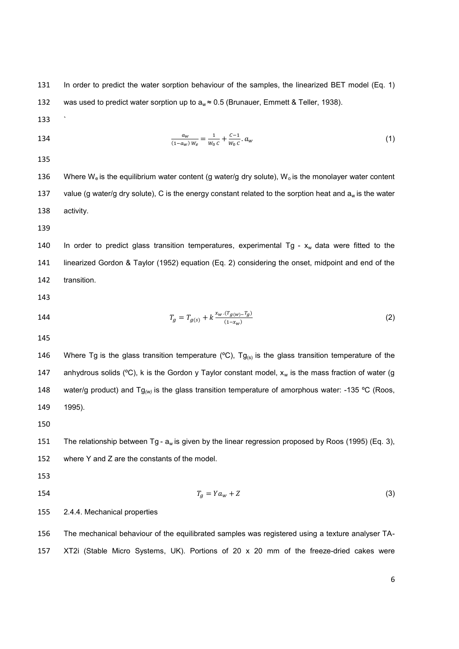131 In order to predict the water sorption behaviour of the samples, the linearized BET model (Eq. 1) 132 was used to predict water sorption up to  $a_w \approx 0.5$  (Brunauer, Emmett & Teller, 1938).

133 `

 $a_w$ 134  $\frac{a_w}{(1-a_w) w_e} = \frac{1}{w_0 c} + \frac{c-1}{w_0 c} a_w$  (1)

135

136 Where W<sub>e</sub> is the equilibrium water content (g water/g dry solute), W<sub>o</sub> is the monolayer water content 137 value (g water/g dry solute), C is the energy constant related to the sorption heat and  $a_w$  is the water 138 activity.

139

140 In order to predict glass transition temperatures, experimental Tg -  $x_w$  data were fitted to the 141 linearized Gordon & Taylor (1952) equation (Eq. 2) considering the onset, midpoint and end of the 142 transition.

143

144 
$$
T_g = T_{g(s)} + k \frac{x_w \cdot (T_{g(w)} - T_g)}{(1 - x_w)}
$$
 (2)

145

146 Where Tg is the glass transition temperature (°C), Tg<sub>(s)</sub> is the glass transition temperature of the 147 anhydrous solids (°C), k is the Gordon y Taylor constant model,  $x_w$  is the mass fraction of water (g 148 water/g product) and Tg<sub>(w)</sub> is the glass transition temperature of amorphous water: -135 °C (Roos, 149 1995).

150

151 The relationship between Tg -  $a_w$  is given by the linear regression proposed by Roos (1995) (Eq. 3), 152 where Y and Z are the constants of the model.

- 153
- 
- 154  $T_a = Y a_w + Z$  (3)

155 2.4.4. Mechanical properties

156 The mechanical behaviour of the equilibrated samples was registered using a texture analyser TA-157 XT2i (Stable Micro Systems, UK). Portions of 20 x 20 mm of the freeze-dried cakes were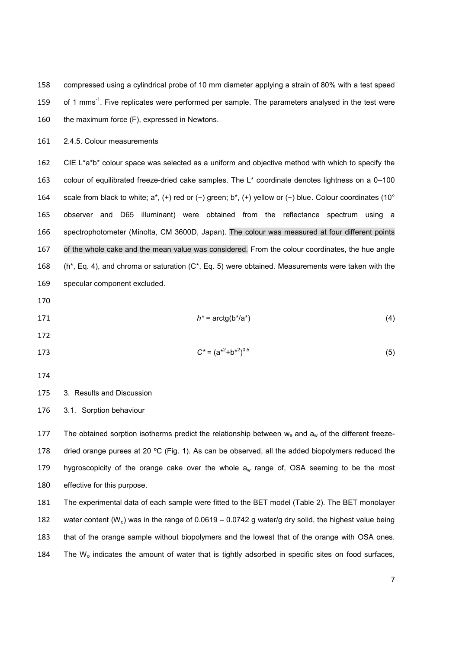compressed using a cylindrical probe of 10 mm diameter applying a strain of 80% with a test speed 159 of 1 mms<sup>-1</sup>. Five replicates were performed per sample. The parameters analysed in the test were the maximum force (F), expressed in Newtons.

2.4.5. Colour measurements

162 CIE L\*a\*b\* colour space was selected as a uniform and objective method with which to specify the colour of equilibrated freeze-dried cake samples. The L\* coordinate denotes lightness on a 0–100 scale from black to white; a\*, (+) red or (−) green; b\*, (+) yellow or (−) blue. Colour coordinates (10° observer and D65 illuminant) were obtained from the reflectance spectrum using a spectrophotometer (Minolta, CM 3600D, Japan). The colour was measured at four different points of the whole cake and the mean value was considered. From the colour coordinates, the hue angle (h\*, Eq. 4), and chroma or saturation (C\*, Eq. 5) were obtained. Measurements were taken with the specular component excluded.

171 *h*<sup>\*</sup> =  $\arctg(b^* / a^*)$  (4)

173  $C^* = (a^{*2} + b^{*2})^{0.5}$  (5)

### 3. Results and Discussion

3.1. Sorption behaviour

177 The obtained sorption isotherms predict the relationship between  $w_e$  and  $a_w$  of the different freeze-178 dried orange purees at 20 °C (Fig. 1). As can be observed, all the added biopolymers reduced the 179 hygroscopicity of the orange cake over the whole  $a_w$  range of, OSA seeming to be the most effective for this purpose.

The experimental data of each sample were fitted to the BET model (Table 2). The BET monolayer 182 water content (W<sub>o</sub>) was in the range of 0.0619 – 0.0742 g water/g dry solid, the highest value being that of the orange sample without biopolymers and the lowest that of the orange with OSA ones. 184 The  $W_0$  indicates the amount of water that is tightly adsorbed in specific sites on food surfaces,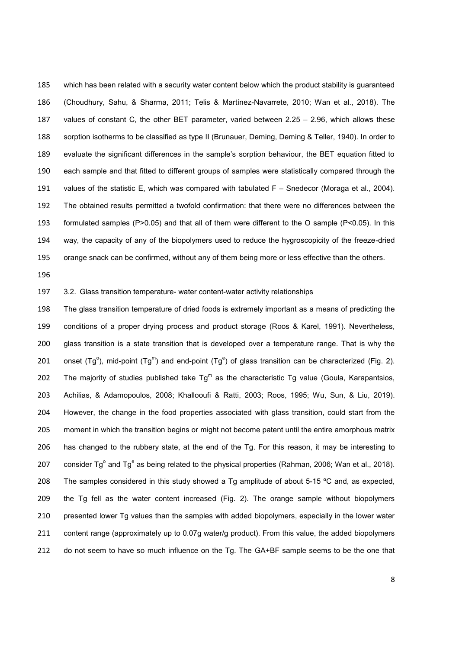which has been related with a security water content below which the product stability is guaranteed (Choudhury, Sahu, & Sharma, 2011; Telis & Martínez-Navarrete, 2010; Wan et al., 2018). The values of constant C, the other BET parameter, varied between 2.25 – 2.96, which allows these sorption isotherms to be classified as type II (Brunauer, Deming, Deming & Teller, 1940). In order to evaluate the significant differences in the sample's sorption behaviour, the BET equation fitted to each sample and that fitted to different groups of samples were statistically compared through the values of the statistic E, which was compared with tabulated F – Snedecor (Moraga et al., 2004). The obtained results permitted a twofold confirmation: that there were no differences between the formulated samples (P>0.05) and that all of them were different to the O sample (P<0.05). In this way, the capacity of any of the biopolymers used to reduce the hygroscopicity of the freeze-dried orange snack can be confirmed, without any of them being more or less effective than the others.

### 3.2. Glass transition temperature- water content-water activity relationships

The glass transition temperature of dried foods is extremely important as a means of predicting the conditions of a proper drying process and product storage (Roos & Karel, 1991). Nevertheless, glass transition is a state transition that is developed over a temperature range. That is why the 201 onset (Tg<sup>o</sup>), mid-point (Tg<sup>m</sup>) and end-point (Tg<sup>e</sup>) of glass transition can be characterized (Fig. 2). 202 The majority of studies published take  $Tg^m$  as the characteristic Tg value (Goula, Karapantsios, Achilias, & Adamopoulos, 2008; Khallooufi & Ratti, 2003; Roos, 1995; Wu, Sun, & Liu, 2019). However, the change in the food properties associated with glass transition, could start from the moment in which the transition begins or might not become patent until the entire amorphous matrix has changed to the rubbery state, at the end of the Tg. For this reason, it may be interesting to 207 consider Tg<sup>o</sup> and Tg<sup>e</sup> as being related to the physical properties (Rahman, 2006; Wan et al., 2018). 208 The samples considered in this study showed a Tg amplitude of about 5-15 °C and, as expected, the Tg fell as the water content increased (Fig. 2). The orange sample without biopolymers presented lower Tg values than the samples with added biopolymers, especially in the lower water content range (approximately up to 0.07g water/g product). From this value, the added biopolymers 212 do not seem to have so much influence on the Tg. The GA+BF sample seems to be the one that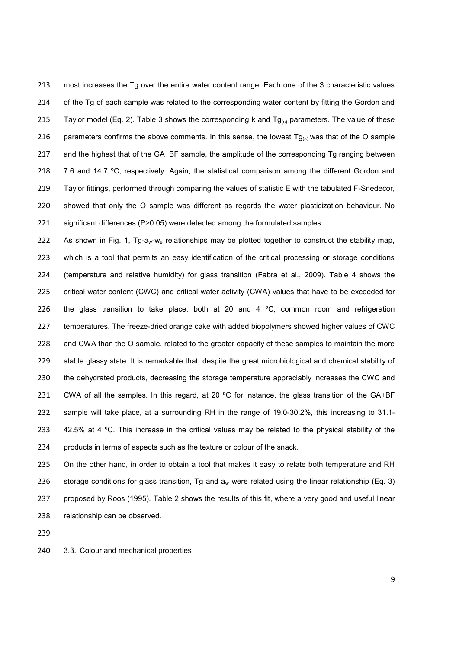most increases the Tg over the entire water content range. Each one of the 3 characteristic values 214 of the Tg of each sample was related to the corresponding water content by fitting the Gordon and 215 Taylor model (Eq. 2). Table 3 shows the corresponding k and  $Tg_{(s)}$  parameters. The value of these 216 parameters confirms the above comments. In this sense, the lowest  $Tg_{(s)}$  was that of the O sample and the highest that of the GA+BF sample, the amplitude of the corresponding Tg ranging between 218 7.6 and 14.7 °C, respectively. Again, the statistical comparison among the different Gordon and Taylor fittings, performed through comparing the values of statistic E with the tabulated F-Snedecor, showed that only the O sample was different as regards the water plasticization behaviour. No significant differences (P>0.05) were detected among the formulated samples.

222 As shown in Fig. 1, Tg-a<sub>w</sub>-w<sub>e</sub> relationships may be plotted together to construct the stability map, which is a tool that permits an easy identification of the critical processing or storage conditions (temperature and relative humidity) for glass transition (Fabra et al., 2009). Table 4 shows the critical water content (CWC) and critical water activity (CWA) values that have to be exceeded for 226 the glass transition to take place, both at 20 and 4  $\degree$ C, common room and refrigeration temperatures. The freeze-dried orange cake with added biopolymers showed higher values of CWC and CWA than the O sample, related to the greater capacity of these samples to maintain the more stable glassy state. It is remarkable that, despite the great microbiological and chemical stability of the dehydrated products, decreasing the storage temperature appreciably increases the CWC and 231 CWA of all the samples. In this regard, at 20  $^{\circ}$ C for instance, the glass transition of the GA+BF sample will take place, at a surrounding RH in the range of 19.0-30.2%, this increasing to 31.1- 233 42.5% at 4 °C. This increase in the critical values may be related to the physical stability of the products in terms of aspects such as the texture or colour of the snack.

235 On the other hand, in order to obtain a tool that makes it easy to relate both temperature and RH 236 storage conditions for glass transition, Tg and  $a_w$  were related using the linear relationship (Eq. 3) proposed by Roos (1995). Table 2 shows the results of this fit, where a very good and useful linear relationship can be observed.

3.3. Colour and mechanical properties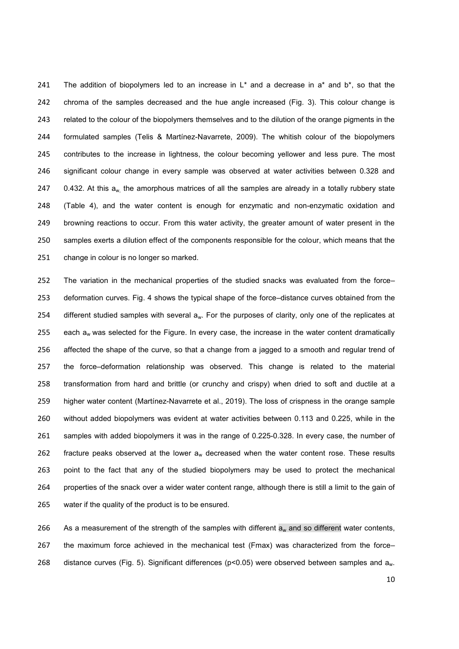241 The addition of biopolymers led to an increase in  $L^*$  and a decrease in a\* and b\*, so that the chroma of the samples decreased and the hue angle increased (Fig. 3). This colour change is related to the colour of the biopolymers themselves and to the dilution of the orange pigments in the formulated samples (Telis & Martínez-Navarrete, 2009). The whitish colour of the biopolymers contributes to the increase in lightness, the colour becoming yellower and less pure. The most significant colour change in every sample was observed at water activities between 0.328 and  $0.432$ . At this a<sub>w,</sub> the amorphous matrices of all the samples are already in a totally rubbery state (Table 4), and the water content is enough for enzymatic and non-enzymatic oxidation and browning reactions to occur. From this water activity, the greater amount of water present in the samples exerts a dilution effect of the components responsible for the colour, which means that the change in colour is no longer so marked.

The variation in the mechanical properties of the studied snacks was evaluated from the force– deformation curves. Fig. 4 shows the typical shape of the force–distance curves obtained from the 254 different studied samples with several a<sub>w</sub>. For the purposes of clarity, only one of the replicates at 255 each  $a_w$  was selected for the Figure. In every case, the increase in the water content dramatically affected the shape of the curve, so that a change from a jagged to a smooth and regular trend of the force–deformation relationship was observed. This change is related to the material transformation from hard and brittle (or crunchy and crispy) when dried to soft and ductile at a higher water content (Martínez-Navarrete et al., 2019). The loss of crispness in the orange sample without added biopolymers was evident at water activities between 0.113 and 0.225, while in the samples with added biopolymers it was in the range of 0.225-0.328. In every case, the number of 262 fracture peaks observed at the lower  $a_w$  decreased when the water content rose. These results point to the fact that any of the studied biopolymers may be used to protect the mechanical properties of the snack over a wider water content range, although there is still a limit to the gain of water if the quality of the product is to be ensured.

266 As a measurement of the strength of the samples with different  $a_w$  and so different water contents, the maximum force achieved in the mechanical test (Fmax) was characterized from the force– 268 distance curves (Fig. 5). Significant differences (p<0.05) were observed between samples and a<sub>w</sub>.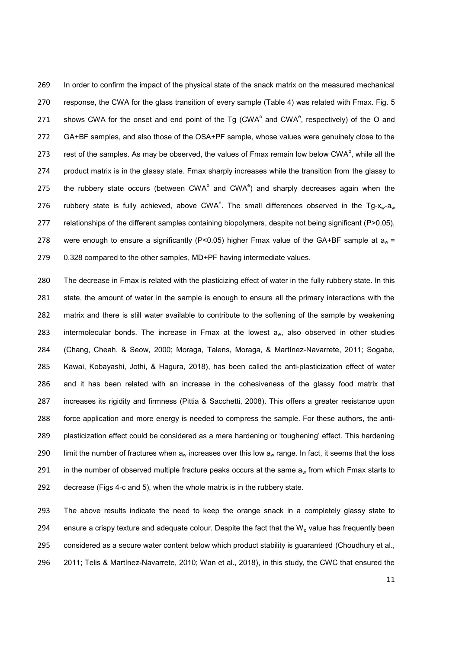In order to confirm the impact of the physical state of the snack matrix on the measured mechanical response, the CWA for the glass transition of every sample (Table 4) was related with Fmax. Fig. 5 271 shows CWA for the onset and end point of the Tg (CWA $^{\circ}$  and CWA $^{\circ}$ , respectively) of the O and GA+BF samples, and also those of the OSA+PF sample, whose values were genuinely close to the 273 rest of the samples. As may be observed, the values of Fmax remain low below CWA $\degree$ , while all the product matrix is in the glassy state. Fmax sharply increases while the transition from the glassy to 275 the rubbery state occurs (between CWA $^{\circ}$  and CWA $^{\circ}$ ) and sharply decreases again when the 276 rubbery state is fully achieved, above CWA<sup>e</sup>. The small differences observed in the Tg-x<sub>w</sub>-a<sub>w</sub> relationships of the different samples containing biopolymers, despite not being significant (P>0.05), 278 were enough to ensure a significantly (P<0.05) higher Fmax value of the GA+BF sample at  $a_w =$ 279 0.328 compared to the other samples, MD+PF having intermediate values.

The decrease in Fmax is related with the plasticizing effect of water in the fully rubbery state. In this state, the amount of water in the sample is enough to ensure all the primary interactions with the matrix and there is still water available to contribute to the softening of the sample by weakening 283 intermolecular bonds. The increase in Fmax at the lowest  $a_w$ , also observed in other studies (Chang, Cheah, & Seow, 2000; Moraga, Talens, Moraga, & Martínez-Navarrete, 2011; Sogabe, Kawai, Kobayashi, Jothi, & Hagura, 2018), has been called the anti-plasticization effect of water and it has been related with an increase in the cohesiveness of the glassy food matrix that increases its rigidity and firmness (Pittia & Sacchetti, 2008). This offers a greater resistance upon force application and more energy is needed to compress the sample. For these authors, the anti-plasticization effect could be considered as a mere hardening or 'toughening' effect. This hardening 290 limit the number of fractures when  $a_w$  increases over this low  $a_w$  range. In fact, it seems that the loss 291 in the number of observed multiple fracture peaks occurs at the same  $a_w$  from which Fmax starts to decrease (Figs 4-c and 5), when the whole matrix is in the rubbery state.

The above results indicate the need to keep the orange snack in a completely glassy state to 294 ensure a crispy texture and adequate colour. Despite the fact that the  $W_0$  value has frequently been considered as a secure water content below which product stability is guaranteed (Choudhury et al., 2011; Telis & Martínez-Navarrete, 2010; Wan et al., 2018), in this study, the CWC that ensured the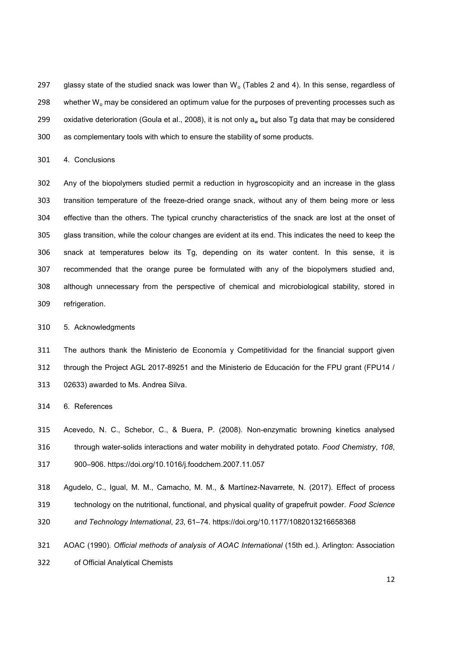297 glassy state of the studied snack was lower than  $W<sub>o</sub>$  (Tables 2 and 4). In this sense, regardless of 298 whether W<sub>o</sub> may be considered an optimum value for the purposes of preventing processes such as 299 oxidative deterioration (Goula et al., 2008), it is not only  $a_w$  but also Tg data that may be considered as complementary tools with which to ensure the stability of some products.

4. Conclusions

Any of the biopolymers studied permit a reduction in hygroscopicity and an increase in the glass transition temperature of the freeze-dried orange snack, without any of them being more or less effective than the others. The typical crunchy characteristics of the snack are lost at the onset of glass transition, while the colour changes are evident at its end. This indicates the need to keep the snack at temperatures below its Tg, depending on its water content. In this sense, it is recommended that the orange puree be formulated with any of the biopolymers studied and, although unnecessary from the perspective of chemical and microbiological stability, stored in refrigeration.

# 5. Acknowledgments

The authors thank the Ministerio de Economía y Competitividad for the financial support given through the Project AGL 2017-89251 and the Ministerio de Educación for the FPU grant (FPU14 / 02633) awarded to Ms. Andrea Silva.

6. References

Acevedo, N. C., Schebor, C., & Buera, P. (2008). Non-enzymatic browning kinetics analysed

through water-solids interactions and water mobility in dehydrated potato. *Food Chemistry*, *108*,

900–906. https://doi.org/10.1016/j.foodchem.2007.11.057

Agudelo, C., Igual, M. M., Camacho, M. M., & Martínez-Navarrete, N. (2017). Effect of process

technology on the nutritional, functional, and physical quality of grapefruit powder. *Food Science* 

- *and Technology International*, *23*, 61–74. https://doi.org/10.1177/1082013216658368
- AOAC (1990). *Official methods of analysis of AOAC International* (15th ed.). Arlington: Association
- of Official Analytical Chemists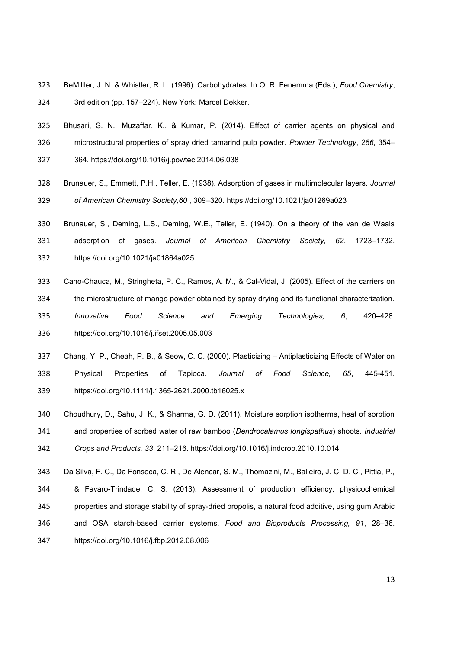- BeMilller, J. N. & Whistler, R. L. (1996). Carbohydrates. In O. R. Fenemma (Eds.), *Food Chemistry*, 3rd edition (pp. 157–224). New York: Marcel Dekker.
- Bhusari, S. N., Muzaffar, K., & Kumar, P. (2014). Effect of carrier agents on physical and microstructural properties of spray dried tamarind pulp powder. *Powder Technology*, *266*, 354–
- 364. https://doi.org/10.1016/j.powtec.2014.06.038
- Brunauer, S., Emmett, P.H., Teller, E. (1938). Adsorption of gases in multimolecular layers. *Journal of American Chemistry Society,60* , 309–320. https://doi.org/10.1021/ja01269a023
- Brunauer, S., Deming, L.S., Deming, W.E., Teller, E. (1940). On a theory of the van de Waals
- adsorption of gases. *Journal of American Chemistry Society, 62*, 1723–1732.
- https://doi.org/10.1021/ja01864a025
- Cano-Chauca, M., Stringheta, P. C., Ramos, A. M., & Cal-Vidal, J. (2005). Effect of the carriers on
- the microstructure of mango powder obtained by spray drying and its functional characterization.
- *Innovative Food Science and Emerging Technologies, 6*, 420–428. https://doi.org/10.1016/j.ifset.2005.05.003
- Chang, Y. P., Cheah, P. B., & Seow, C. C. (2000). Plasticizing Antiplasticizing Effects of Water on Physical Properties of Tapioca. *Journal of Food Science, 65*, 445-451. https://doi.org/10.1111/j.1365-2621.2000.tb16025.x
- Choudhury, D., Sahu, J. K., & Sharma, G. D. (2011). Moisture sorption isotherms, heat of sorption and properties of sorbed water of raw bamboo (*Dendrocalamus longispathus*) shoots. *Industrial Crops and Products, 33*, 211–216. https://doi.org/10.1016/j.indcrop.2010.10.014
- Da Silva, F. C., Da Fonseca, C. R., De Alencar, S. M., Thomazini, M., Balieiro, J. C. D. C., Pittia, P., & Favaro-Trindade, C. S. (2013). Assessment of production efficiency, physicochemical properties and storage stability of spray-dried propolis, a natural food additive, using gum Arabic and OSA starch-based carrier systems. *Food and Bioproducts Processing, 91*, 28–36. https://doi.org/10.1016/j.fbp.2012.08.006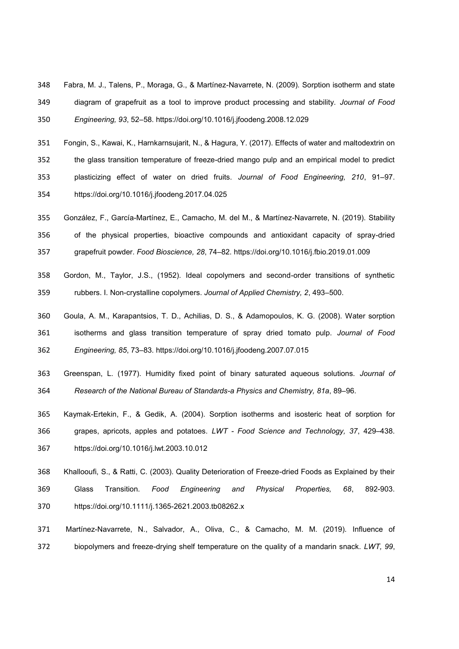Fabra, M. J., Talens, P., Moraga, G., & Martínez-Navarrete, N. (2009). Sorption isotherm and state diagram of grapefruit as a tool to improve product processing and stability. *Journal of Food Engineering, 93*, 52–58. https://doi.org/10.1016/j.jfoodeng.2008.12.029

Fongin, S., Kawai, K., Harnkarnsujarit, N., & Hagura, Y. (2017). Effects of water and maltodextrin on the glass transition temperature of freeze-dried mango pulp and an empirical model to predict plasticizing effect of water on dried fruits. *Journal of Food Engineering, 210*, 91–97. https://doi.org/10.1016/j.jfoodeng.2017.04.025

- González, F., García-Martínez, E., Camacho, M. del M., & Martínez-Navarrete, N. (2019). Stability of the physical properties, bioactive compounds and antioxidant capacity of spray-dried grapefruit powder. *Food Bioscience, 28*, 74–82. https://doi.org/10.1016/j.fbio.2019.01.009
- Gordon, M., Taylor, J.S., (1952). Ideal copolymers and second-order transitions of synthetic rubbers. I. Non-crystalline copolymers. *Journal of Applied Chemistry, 2*, 493–500.
- Goula, A. M., Karapantsios, T. D., Achilias, D. S., & Adamopoulos, K. G. (2008). Water sorption isotherms and glass transition temperature of spray dried tomato pulp. *Journal of Food Engineering, 85*, 73–83. https://doi.org/10.1016/j.jfoodeng.2007.07.015
- Greenspan, L. (1977). Humidity fixed point of binary saturated aqueous solutions. *Journal of Research of the National Bureau of Standards-a Physics and Chemistry, 81a*, 89–96.
- Kaymak-Ertekin, F., & Gedik, A. (2004). Sorption isotherms and isosteric heat of sorption for grapes, apricots, apples and potatoes. *LWT - Food Science and Technology, 37*, 429–438. https://doi.org/10.1016/j.lwt.2003.10.012
- Khallooufi, S., & Ratti, C. (2003). Quality Deterioration of Freeze-dried Foods as Explained by their Glass Transition. *Food Engineering and Physical Properties, 68*, 892-903. https://doi.org/10.1111/j.1365-2621.2003.tb08262.x
- Martínez-Navarrete, N., Salvador, A., Oliva, C., & Camacho, M. M. (2019). Influence of biopolymers and freeze-drying shelf temperature on the quality of a mandarin snack. *LWT, 99*,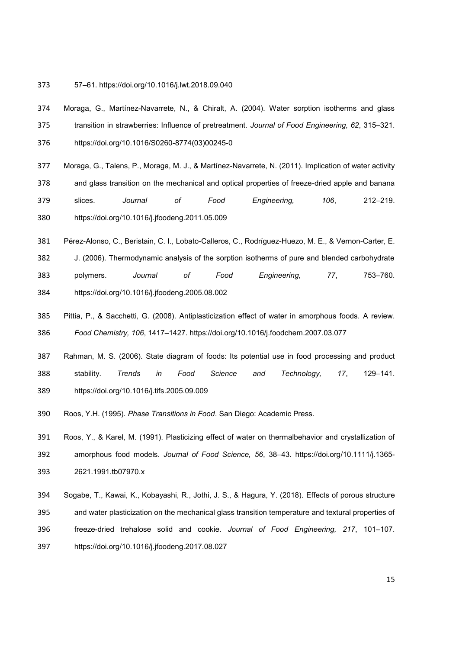- 57–61. https://doi.org/10.1016/j.lwt.2018.09.040
- Moraga, G., Martínez-Navarrete, N., & Chiralt, A. (2004). Water sorption isotherms and glass transition in strawberries: Influence of pretreatment. *Journal of Food Engineering, 62*, 315–321. https://doi.org/10.1016/S0260-8774(03)00245-0
- Moraga, G., Talens, P., Moraga, M. J., & Martínez-Navarrete, N. (2011). Implication of water activity and glass transition on the mechanical and optical properties of freeze-dried apple and banana slices. *Journal of Food Engineering, 106*, 212–219. https://doi.org/10.1016/j.jfoodeng.2011.05.009
- Pérez-Alonso, C., Beristain, C. I., Lobato-Calleros, C., Rodríguez-Huezo, M. E., & Vernon-Carter, E.
- J. (2006). Thermodynamic analysis of the sorption isotherms of pure and blended carbohydrate
- polymers. *Journal of Food Engineering, 77*, 753–760. https://doi.org/10.1016/j.jfoodeng.2005.08.002
- Pittia, P., & Sacchetti, G. (2008). Antiplasticization effect of water in amorphous foods. A review. *Food Chemistry, 106*, 1417–1427. https://doi.org/10.1016/j.foodchem.2007.03.077
- Rahman, M. S. (2006). State diagram of foods: Its potential use in food processing and product stability. *Trends in Food Science and Technology, 17*, 129–141. https://doi.org/10.1016/j.tifs.2005.09.009
- Roos, Y.H. (1995). *Phase Transitions in Food*. San Diego: Academic Press.
- Roos, Y., & Karel, M. (1991). Plasticizing effect of water on thermalbehavior and crystallization of amorphous food models. *Journal of Food Science, 56*, 38–43. https://doi.org/10.1111/j.1365- 2621.1991.tb07970.x
- Sogabe, T., Kawai, K., Kobayashi, R., Jothi, J. S., & Hagura, Y. (2018). Effects of porous structure and water plasticization on the mechanical glass transition temperature and textural properties of freeze-dried trehalose solid and cookie. *Journal of Food Engineering, 217*, 101–107. https://doi.org/10.1016/j.jfoodeng.2017.08.027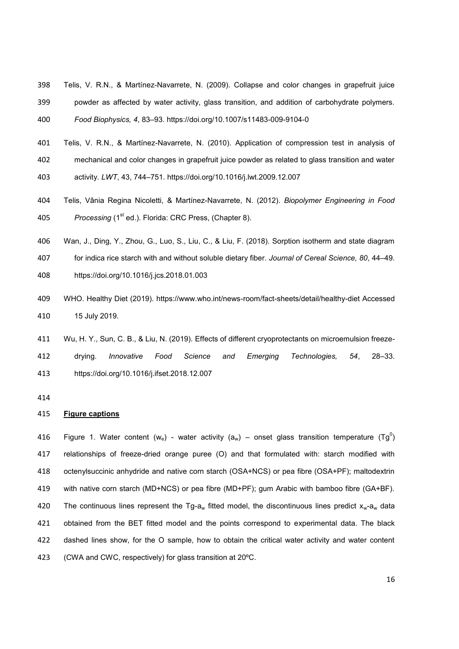Telis, V. R.N., & Martínez-Navarrete, N. (2009). Collapse and color changes in grapefruit juice powder as affected by water activity, glass transition, and addition of carbohydrate polymers.

*Food Biophysics, 4*, 83–93. https://doi.org/10.1007/s11483-009-9104-0

- Telis, V. R.N., & Martínez-Navarrete, N. (2010). Application of compression test in analysis of
- mechanical and color changes in grapefruit juice powder as related to glass transition and water
- activity. *LWT*, 43, 744–751. https://doi.org/10.1016/j.lwt.2009.12.007
- Telis, Vânia Regina Nicoletti, & Martínez-Navarrete, N. (2012). *Biopolymer Engineering in Food*  405 Processing (1<sup>st</sup> ed.). Florida: CRC Press, (Chapter 8).
- Wan, J., Ding, Y., Zhou, G., Luo, S., Liu, C., & Liu, F. (2018). Sorption isotherm and state diagram
- for indica rice starch with and without soluble dietary fiber. *Journal of Cereal Science, 80*, 44–49.
- https://doi.org/10.1016/j.jcs.2018.01.003
- WHO. Healthy Diet (2019). https://www.who.int/news-room/fact-sheets/detail/healthy-diet Accessed 15 July 2019.
- Wu, H. Y., Sun, C. B., & Liu, N. (2019). Effects of different cryoprotectants on microemulsion freeze-drying. *Innovative Food Science and Emerging Technologies, 54*, 28–33. https://doi.org/10.1016/j.ifset.2018.12.007
- 

## **Figure captions**

416 Figure 1. Water content (we) - water activity (a<sub>w</sub>) – onset glass transition temperature (Tg<sup>0</sup>) relationships of freeze-dried orange puree (O) and that formulated with: starch modified with octenylsuccinic anhydride and native corn starch (OSA+NCS) or pea fibre (OSA+PF); maltodextrin with native corn starch (MD+NCS) or pea fibre (MD+PF); gum Arabic with bamboo fibre (GA+BF). 420 The continuous lines represent the Tg-a<sub>w</sub> fitted model, the discontinuous lines predict  $x_w$ -a<sub>w</sub> data obtained from the BET fitted model and the points correspond to experimental data. The black dashed lines show, for the O sample, how to obtain the critical water activity and water content (CWA and CWC, respectively) for glass transition at 20ºC.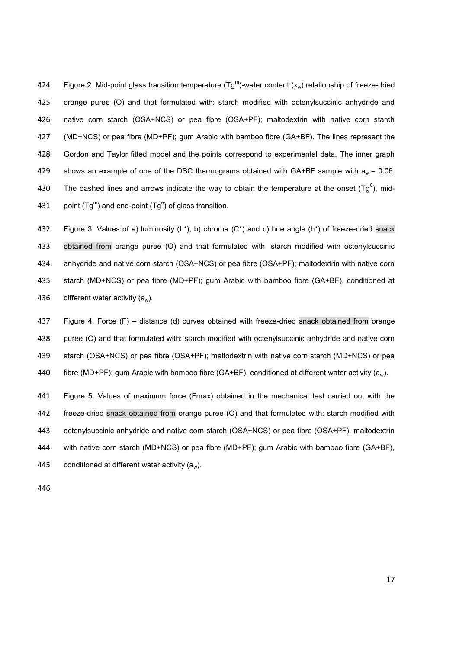424 Figure 2. Mid-point glass transition temperature (Tg<sup>m</sup>)-water content (x<sub>w</sub>) relationship of freeze-dried orange puree (O) and that formulated with: starch modified with octenylsuccinic anhydride and native corn starch (OSA+NCS) or pea fibre (OSA+PF); maltodextrin with native corn starch (MD+NCS) or pea fibre (MD+PF); gum Arabic with bamboo fibre (GA+BF). The lines represent the Gordon and Taylor fitted model and the points correspond to experimental data. The inner graph 429 shows an example of one of the DSC thermograms obtained with  $GA+BF$  sample with  $a_w = 0.06$ . 430 The dashed lines and arrows indicate the way to obtain the temperature at the onset (Tg<sup>0</sup>), mid-431 point (Tg<sup>m</sup>) and end-point (Tg<sup>e</sup>) of glass transition.

432 Figure 3. Values of a) luminosity  $(L^*)$ , b) chroma  $(C^*)$  and c) hue angle (h<sup>\*</sup>) of freeze-dried snack obtained from orange puree (O) and that formulated with: starch modified with octenylsuccinic anhydride and native corn starch (OSA+NCS) or pea fibre (OSA+PF); maltodextrin with native corn starch (MD+NCS) or pea fibre (MD+PF); gum Arabic with bamboo fibre (GA+BF), conditioned at 436 different water activity  $(a_w)$ .

Figure 4. Force (F) – distance (d) curves obtained with freeze-dried snack obtained from orange puree (O) and that formulated with: starch modified with octenylsuccinic anhydride and native corn starch (OSA+NCS) or pea fibre (OSA+PF); maltodextrin with native corn starch (MD+NCS) or pea 440 fibre (MD+PF); gum Arabic with bamboo fibre (GA+BF), conditioned at different water activity ( $a_w$ ).

Figure 5. Values of maximum force (Fmax) obtained in the mechanical test carried out with the freeze-dried snack obtained from orange puree (O) and that formulated with: starch modified with octenylsuccinic anhydride and native corn starch (OSA+NCS) or pea fibre (OSA+PF); maltodextrin with native corn starch (MD+NCS) or pea fibre (MD+PF); gum Arabic with bamboo fibre (GA+BF), 445 conditioned at different water activity  $(a_w)$ .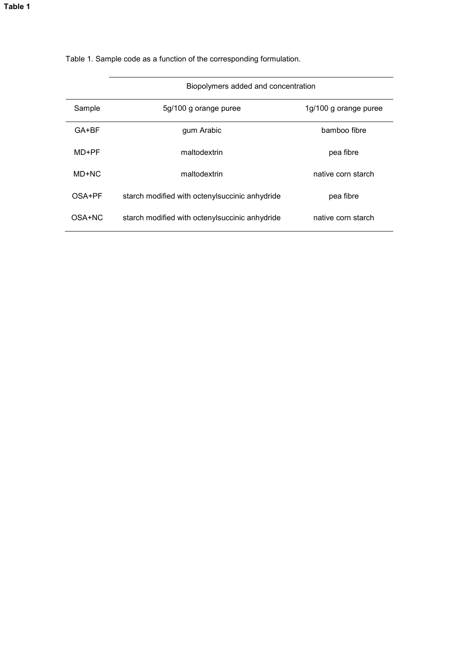| Biopolymers added and concentration |                                                |                       |  |  |  |
|-------------------------------------|------------------------------------------------|-----------------------|--|--|--|
| Sample                              | 5g/100 g orange puree                          | 1g/100 g orange puree |  |  |  |
| $GA+BF$                             | gum Arabic                                     | bamboo fibre          |  |  |  |
| MD+PF                               | maltodextrin                                   | pea fibre             |  |  |  |
| MD+NC                               | maltodextrin                                   | native corn starch    |  |  |  |
| OSA+PF                              | starch modified with octenylsuccinic anhydride | pea fibre             |  |  |  |
| OSA+NC                              | starch modified with octenylsuccinic anhydride | native corn starch    |  |  |  |

Table 1. Sample code as a function of the corresponding formulation.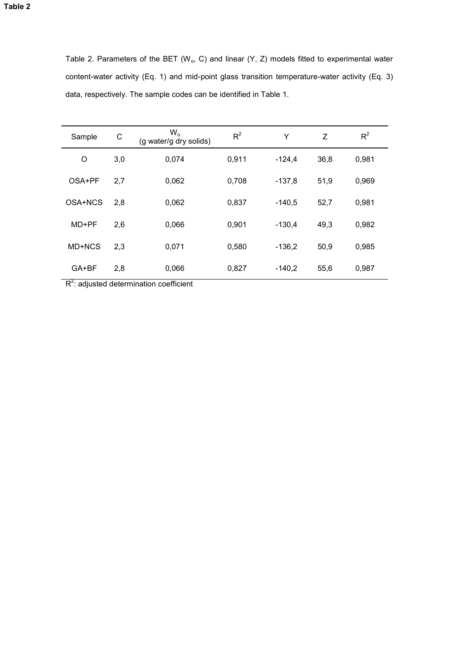| Table 2. Parameters of the BET ( $W_0$ , C) and linear (Y, Z) models fitted to experimental water |
|---------------------------------------------------------------------------------------------------|
| content-water activity (Eq. 1) and mid-point glass transition temperature-water activity (Eq. 3)  |
| data, respectively. The sample codes can be identified in Table 1.                                |

| C<br>Sample |     | $W_{o}$<br>(g water/g dry solids) | $R^2$ | Υ        | Z    | $R^2$ |
|-------------|-----|-----------------------------------|-------|----------|------|-------|
| O           | 3,0 | 0,074                             | 0,911 | $-124,4$ | 36,8 | 0,981 |
| OSA+PF      | 2,7 | 0,062                             | 0,708 | $-137,8$ | 51,9 | 0,969 |
| OSA+NCS     | 2,8 | 0,062                             | 0,837 | $-140,5$ | 52,7 | 0,981 |
| MD+PF       | 2,6 | 0,066                             | 0,901 | $-130,4$ | 49,3 | 0,982 |
| MD+NCS      | 2,3 | 0,071                             | 0,580 | $-136,2$ | 50,9 | 0,985 |
| GA+BF       | 2,8 | 0,066                             | 0,827 | $-140,2$ | 55,6 | 0,987 |

 $R^2$ : adjusted determination coefficient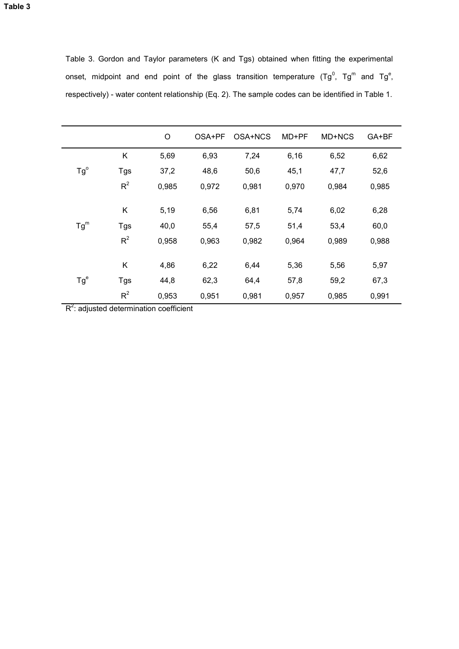Table 3. Gordon and Taylor parameters (K and Tgs) obtained when fitting the experimental onset, midpoint and end point of the glass transition temperature (Tg $^{0}$ , Tg $^{\mathsf{m}}$  and Tg $^{\mathsf{e}},$ respectively) - water content relationship (Eq. 2). The sample codes can be identified in Table 1.

|              |            | $\circ$ | OSA+PF | OSA+NCS | MD+PF | MD+NCS | GA+BF |  |
|--------------|------------|---------|--------|---------|-------|--------|-------|--|
|              | Κ          | 5,69    | 6,93   | 7,24    | 6,16  | 6,52   | 6,62  |  |
| $Tg^{\circ}$ | Tgs        | 37,2    | 48,6   | 50,6    | 45,1  | 47,7   | 52,6  |  |
|              | $R^2$      | 0,985   | 0,972  | 0,981   | 0,970 | 0,984  | 0,985 |  |
|              |            |         |        |         |       |        |       |  |
|              | Κ          | 5,19    | 6,56   | 6,81    | 5,74  | 6,02   | 6,28  |  |
| $Tg^m$       | <b>Tgs</b> | 40,0    | 55,4   | 57,5    | 51,4  | 53,4   | 60,0  |  |
|              | $R^2$      | 0,958   | 0,963  | 0,982   | 0,964 | 0,989  | 0,988 |  |
|              |            |         |        |         |       |        |       |  |
|              | Κ          | 4,86    | 6,22   | 6,44    | 5,36  | 5,56   | 5,97  |  |
| $Tg^e$       | Tgs        | 44,8    | 62,3   | 64,4    | 57,8  | 59,2   | 67,3  |  |
|              | $R^2$      | 0,953   | 0,951  | 0,981   | 0,957 | 0,985  | 0,991 |  |

 $R^2$ : adjusted determination coefficient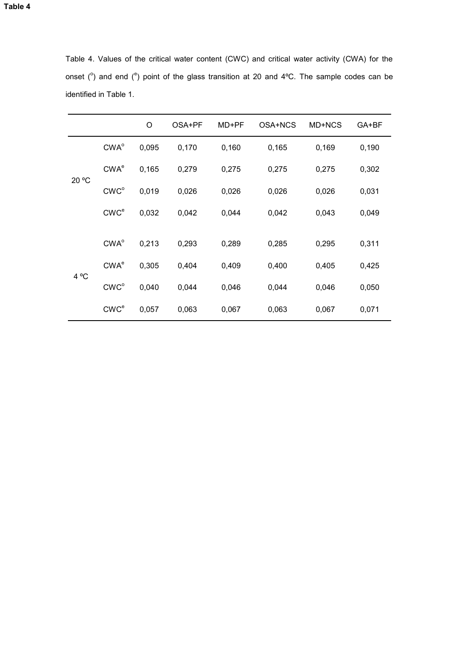|       |                  | O     | OSA+PF | MD+PF | OSA+NCS | MD+NCS | GA+BF |
|-------|------------------|-------|--------|-------|---------|--------|-------|
|       | $CWA^o$          | 0,095 | 0,170  | 0,160 | 0,165   | 0,169  | 0,190 |
| 20 °C | CWA <sup>e</sup> | 0,165 | 0,279  | 0,275 | 0,275   | 0,275  | 0,302 |
|       | CWC <sup>o</sup> | 0,019 | 0,026  | 0,026 | 0,026   | 0,026  | 0,031 |
|       | CWC <sup>e</sup> | 0,032 | 0,042  | 0,044 | 0,042   | 0,043  | 0,049 |
|       |                  |       |        |       |         |        |       |
|       | $CWA^o$          | 0,213 | 0,293  | 0,289 | 0,285   | 0,295  | 0,311 |
| 4 °C  | CWA <sup>e</sup> | 0,305 | 0,404  | 0,409 | 0,400   | 0,405  | 0,425 |
|       | CWC <sup>o</sup> | 0,040 | 0,044  | 0,046 | 0,044   | 0,046  | 0,050 |
|       | CWC <sup>e</sup> | 0,057 | 0,063  | 0,067 | 0,063   | 0,067  | 0,071 |

Table 4. Values of the critical water content (CWC) and critical water activity (CWA) for the onset ( $^{\circ}$ ) and end ( $^{\circ}$ ) point of the glass transition at 20 and 4 $^{\circ}$ C. The sample codes can be identified in Table 1.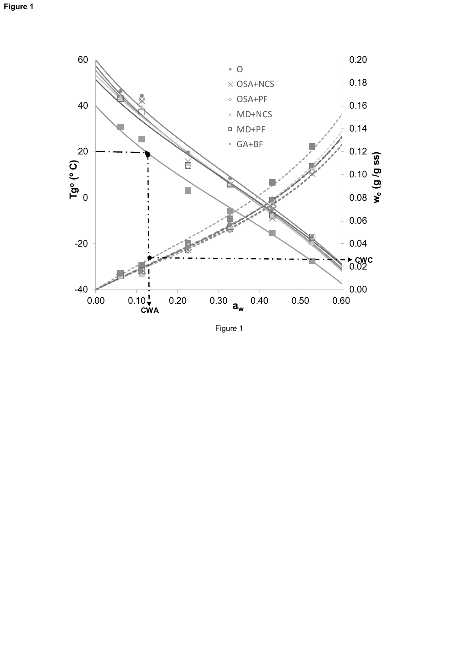

Figure 1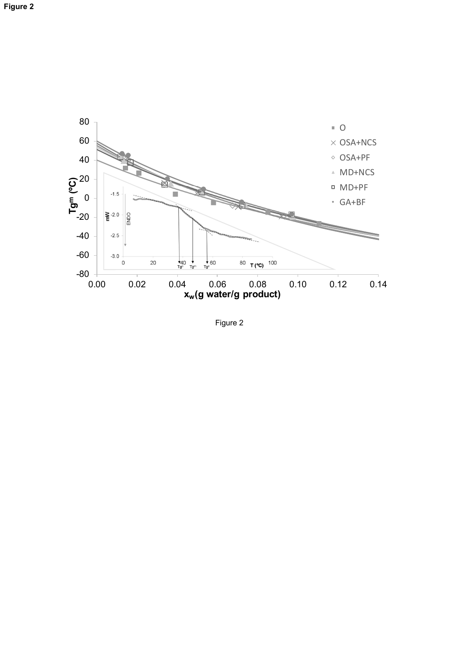

Figure 2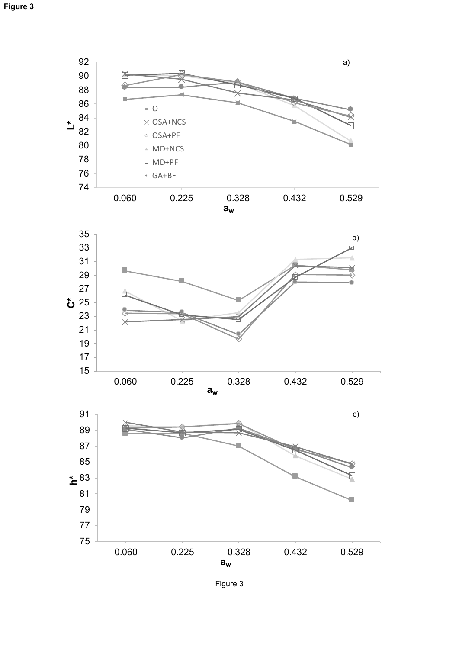

Figure 3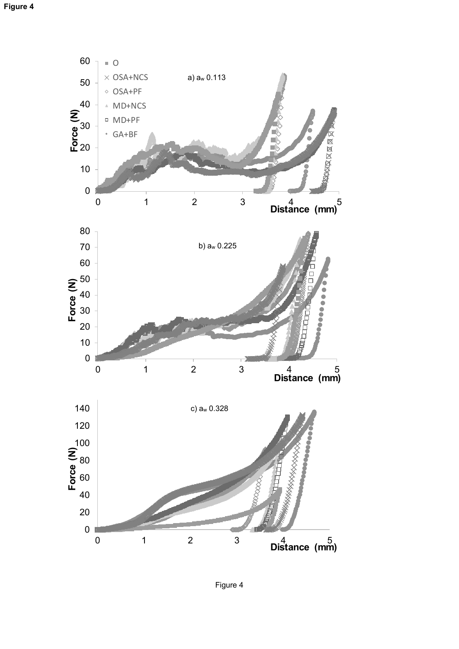

Figure 4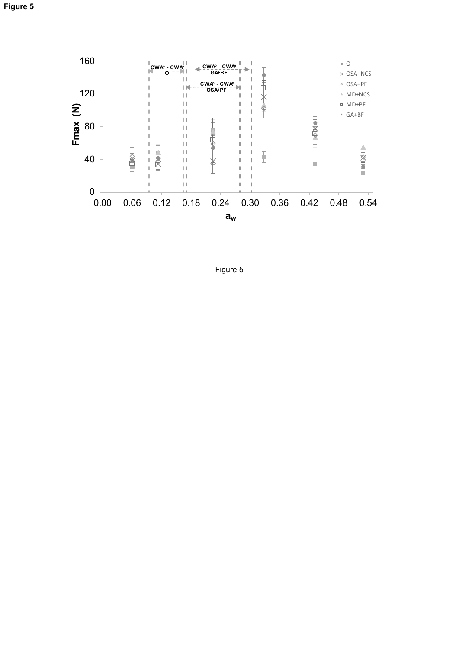

Figure 5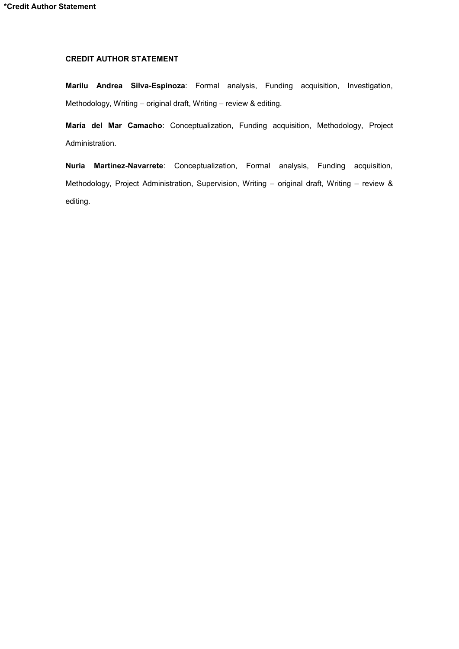## **CREDIT AUTHOR STATEMENT**

**Marilu Andrea Silva-Espinoza**: Formal analysis, Funding acquisition, Investigation, Methodology, Writing – original draft, Writing – review & editing.

**María del Mar Camacho**: Conceptualization, Funding acquisition, Methodology, Project Administration.

**Nuria Martínez-Navarrete**: Conceptualization, Formal analysis, Funding acquisition, Methodology, Project Administration, Supervision, Writing – original draft, Writing – review & editing.